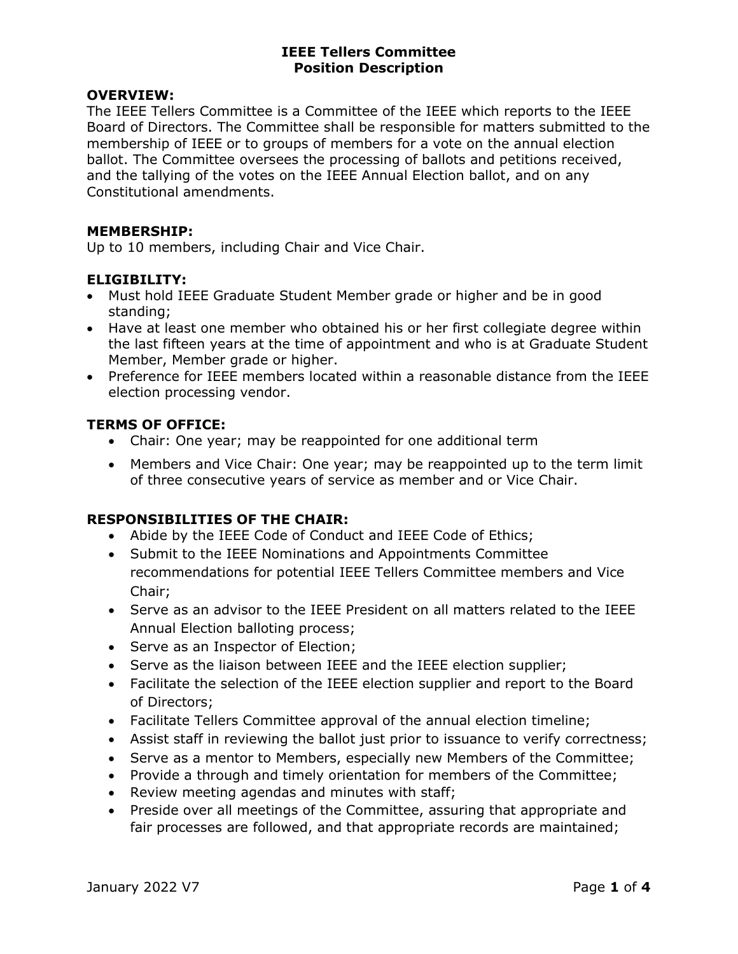# OVERVIEW:

The IEEE Tellers Committee is a Committee of the IEEE which reports to the IEEE Board of Directors. The Committee shall be responsible for matters submitted to the membership of IEEE or to groups of members for a vote on the annual election ballot. The Committee oversees the processing of ballots and petitions received, and the tallying of the votes on the IEEE Annual Election ballot, and on any Constitutional amendments.

#### MEMBERSHIP:

Up to 10 members, including Chair and Vice Chair.

### ELIGIBILITY:

- Must hold IEEE Graduate Student Member grade or higher and be in good standing;
- Have at least one member who obtained his or her first collegiate degree within the last fifteen years at the time of appointment and who is at Graduate Student Member, Member grade or higher.
- Preference for IEEE members located within a reasonable distance from the IEEE election processing vendor.

# TERMS OF OFFICE:

- Chair: One year; may be reappointed for one additional term
- Members and Vice Chair: One year; may be reappointed up to the term limit of three consecutive years of service as member and or Vice Chair.

# RESPONSIBILITIES OF THE CHAIR:

- Abide by the IEEE Code of Conduct and IEEE Code of Ethics;
- Submit to the IEEE Nominations and Appointments Committee recommendations for potential IEEE Tellers Committee members and Vice Chair;
- Serve as an advisor to the IEEE President on all matters related to the IEEE Annual Election balloting process;
- Serve as an Inspector of Election;
- Serve as the liaison between IEEE and the IEEE election supplier;
- Facilitate the selection of the IEEE election supplier and report to the Board of Directors;
- Facilitate Tellers Committee approval of the annual election timeline;
- Assist staff in reviewing the ballot just prior to issuance to verify correctness;
- Serve as a mentor to Members, especially new Members of the Committee;
- Provide a through and timely orientation for members of the Committee;
- Review meeting agendas and minutes with staff;
- Preside over all meetings of the Committee, assuring that appropriate and fair processes are followed, and that appropriate records are maintained;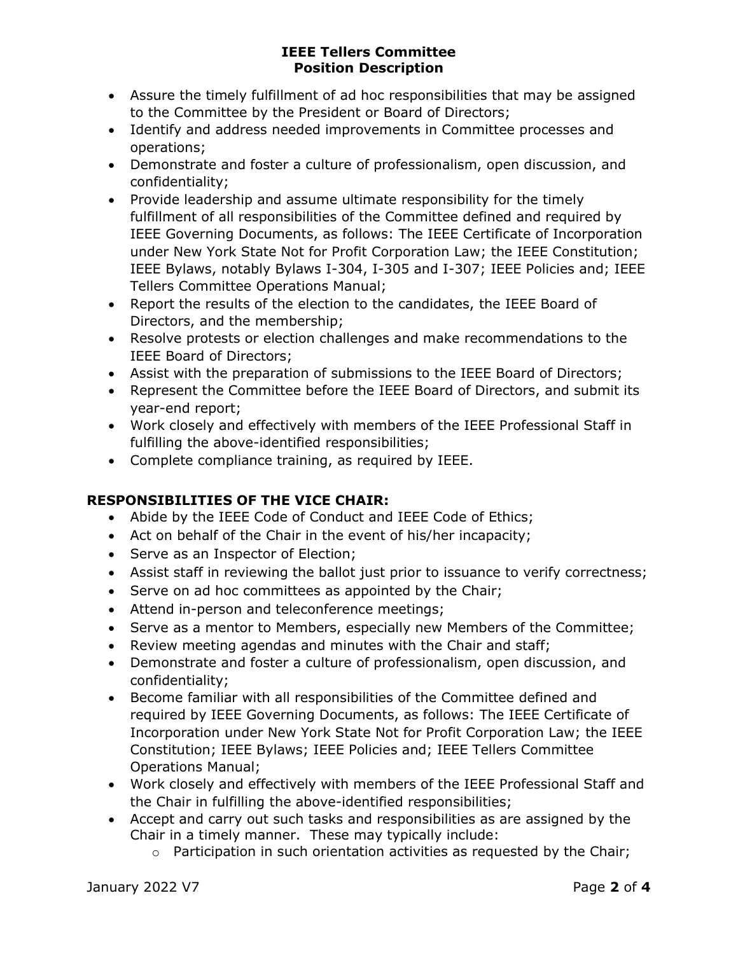- Assure the timely fulfillment of ad hoc responsibilities that may be assigned to the Committee by the President or Board of Directors;
- Identify and address needed improvements in Committee processes and operations;
- Demonstrate and foster a culture of professionalism, open discussion, and confidentiality;
- Provide leadership and assume ultimate responsibility for the timely fulfillment of all responsibilities of the Committee defined and required by IEEE Governing Documents, as follows: The IEEE Certificate of Incorporation under New York State Not for Profit Corporation Law; the IEEE Constitution; IEEE Bylaws, notably Bylaws I-304, I-305 and I-307; IEEE Policies and; IEEE Tellers Committee Operations Manual;
- Report the results of the election to the candidates, the IEEE Board of Directors, and the membership;
- Resolve protests or election challenges and make recommendations to the IEEE Board of Directors;
- Assist with the preparation of submissions to the IEEE Board of Directors;
- Represent the Committee before the IEEE Board of Directors, and submit its year-end report;
- Work closely and effectively with members of the IEEE Professional Staff in fulfilling the above-identified responsibilities;
- Complete compliance training, as required by IEEE.

# RESPONSIBILITIES OF THE VICE CHAIR:

- Abide by the IEEE Code of Conduct and IEEE Code of Ethics;
- Act on behalf of the Chair in the event of his/her incapacity;
- Serve as an Inspector of Election;
- Assist staff in reviewing the ballot just prior to issuance to verify correctness;
- Serve on ad hoc committees as appointed by the Chair;
- Attend in-person and teleconference meetings;
- Serve as a mentor to Members, especially new Members of the Committee;
- Review meeting agendas and minutes with the Chair and staff;
- Demonstrate and foster a culture of professionalism, open discussion, and confidentiality;
- Become familiar with all responsibilities of the Committee defined and required by IEEE Governing Documents, as follows: The IEEE Certificate of Incorporation under New York State Not for Profit Corporation Law; the IEEE Constitution; IEEE Bylaws; IEEE Policies and; IEEE Tellers Committee Operations Manual;
- Work closely and effectively with members of the IEEE Professional Staff and the Chair in fulfilling the above-identified responsibilities;
- Accept and carry out such tasks and responsibilities as are assigned by the Chair in a timely manner. These may typically include:
	- $\circ$  Participation in such orientation activities as requested by the Chair;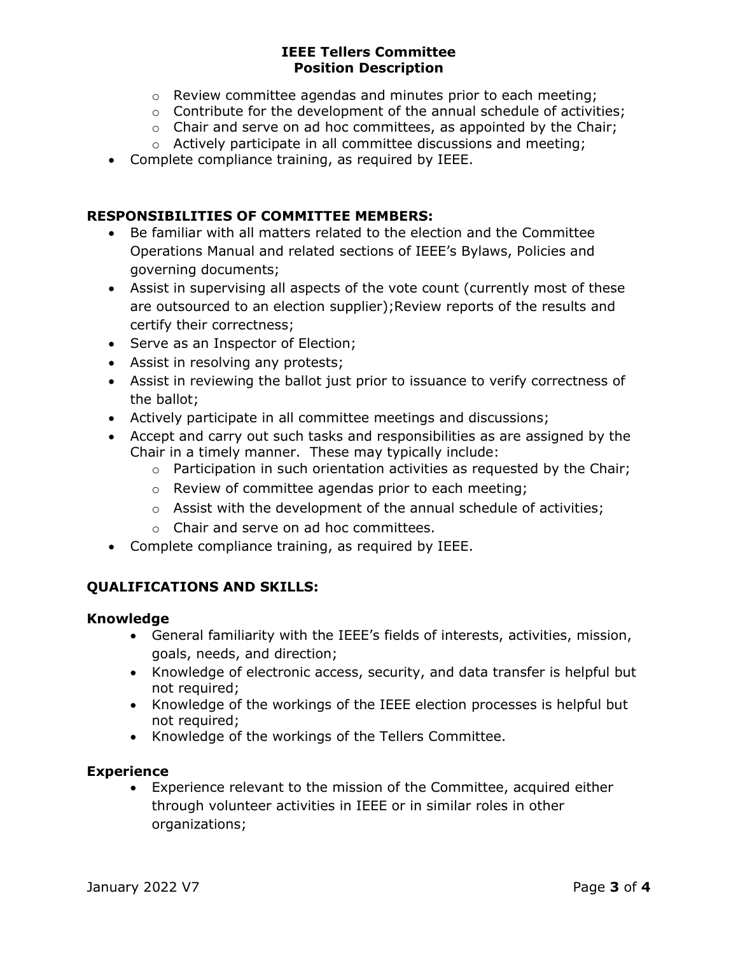- o Review committee agendas and minutes prior to each meeting;
- $\circ$  Contribute for the development of the annual schedule of activities;
- $\circ$  Chair and serve on ad hoc committees, as appointed by the Chair;
- o Actively participate in all committee discussions and meeting;
- Complete compliance training, as required by IEEE.

### RESPONSIBILITIES OF COMMITTEE MEMBERS:

- Be familiar with all matters related to the election and the Committee Operations Manual and related sections of IEEE's Bylaws, Policies and governing documents;
- Assist in supervising all aspects of the vote count (currently most of these are outsourced to an election supplier);Review reports of the results and certify their correctness;
- Serve as an Inspector of Election;
- Assist in resolving any protests;
- Assist in reviewing the ballot just prior to issuance to verify correctness of the ballot;
- Actively participate in all committee meetings and discussions;
- Accept and carry out such tasks and responsibilities as are assigned by the Chair in a timely manner. These may typically include:
	- $\circ$  Participation in such orientation activities as requested by the Chair;
	- o Review of committee agendas prior to each meeting;
	- $\circ$  Assist with the development of the annual schedule of activities;
	- o Chair and serve on ad hoc committees.
- Complete compliance training, as required by IEEE.

### QUALIFICATIONS AND SKILLS:

#### Knowledge

- General familiarity with the IEEE's fields of interests, activities, mission, goals, needs, and direction;
- Knowledge of electronic access, security, and data transfer is helpful but not required;
- Knowledge of the workings of the IEEE election processes is helpful but not required;
- Knowledge of the workings of the Tellers Committee.

### Experience

 Experience relevant to the mission of the Committee, acquired either through volunteer activities in IEEE or in similar roles in other organizations;